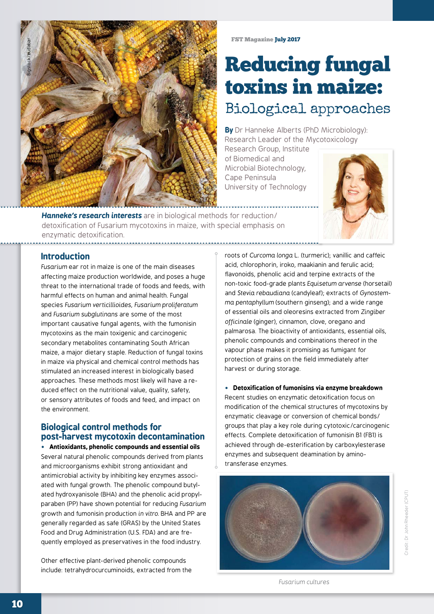

# Reducing fungal toxins in maize: Biological approaches

**By** Dr Hanneke Alberts (PhD Microbiology): Research Leader of the Mycotoxicology

Research Group, Institute of Biomedical and Microbial Biotechnology, Cape Peninsula University of Technology



*Hanneke's research interests* are in biological methods for reduction/ detoxification of Fusarium mycotoxins in maize, with special emphasis on enzymatic detoxification.

# **Introduction**

*Fusarium* ear rot in maize is one of the main diseases affecting maize production worldwide, and poses a huge threat to the international trade of foods and feeds, with harmful effects on human and animal health. Fungal species *Fusarium verticillioides*, *Fusarium proliferatum* and *Fusarium subglutinans* are some of the most important causative fungal agents, with the fumonisin mycotoxins as the main toxigenic and carcinogenic secondary metabolites contaminating South African maize, a major dietary staple. Reduction of fungal toxins in maize via physical and chemical control methods has stimulated an increased interest in biologically based approaches. These methods most likely will have a reduced effect on the nutritional value, quality, safety, or sensory attributes of foods and feed, and impact on the environment.

# **Biological control methods for post-harvest mycotoxin decontamination**

• **Antioxidants, phenolic compounds and essential oils** Several natural phenolic compounds derived from plants and microorganisms exhibit strong antioxidant and antimicrobial activity by inhibiting key enzymes associated with fungal growth. The phenolic compound butylated hydroxyanisole (BHA) and the phenolic acid propylparaben (PP) have shown potential for reducing *Fusarium*  growth and fumonisin production *in vitro.* BHA and PP are generally regarded as safe (GRAS) by the United States Food and Drug Administration (U.S. FDA) and are frequently employed as preservatives in the food industry.

Other effective plant-derived phenolic compounds include: tetrahydrocurcuminoids, extracted from the roots of *Curcoma longa* L. (turmeric); vanillic and caffeic acid, chlorophorin, iroko, maakianin and ferulic acid; flavonoids, phenolic acid and terpine extracts of the non-toxic food-grade plants *Equisetum arvense* (horsetail) and *Stevia rebaudiana* (candyleaf); extracts of *Gynostemma pentaphyllum* (southern ginseng); and a wide range of essential oils and oleoresins extracted from *Zingiber officinale* (ginger), cinnamon, clove, oregano and palmarosa. The bioactivity of antioxidants, essential oils, phenolic compounds and combinations thereof in the vapour phase makes it promising as fumigant for protection of grains on the field immediately after harvest or during storage.

• **Detoxification of fumonisins via enzyme breakdown**  Recent studies on enzymatic detoxification focus on modification of the chemical structures of mycotoxins by enzymatic cleavage or conversion of chemical bonds/ groups that play a key role during cytotoxic/carcinogenic effects. Complete detoxification of fumonisin B1 (FB1) is achieved through de-esterification by carboxylesterase enzymes and subsequent deamination by aminotransferase enzymes.



*Fusarium cultures*